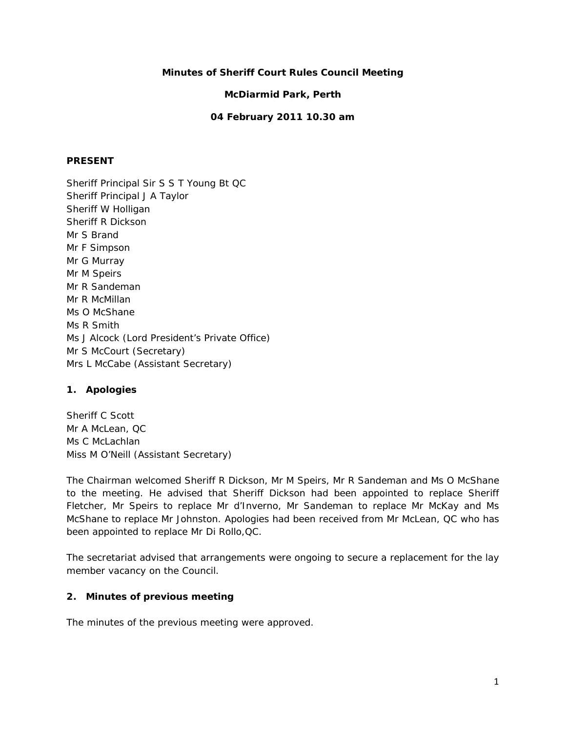# **Minutes of Sheriff Court Rules Council Meeting**

# **McDiarmid Park, Perth**

## **04 February 2011 10.30 am**

### **PRESENT**

Sheriff Principal Sir S S T Young Bt QC Sheriff Principal J A Taylor Sheriff W Holligan Sheriff R Dickson Mr S Brand Mr F Simpson Mr G Murray Mr M Speirs Mr R Sandeman Mr R McMillan Ms O McShane Ms R Smith Ms J Alcock (Lord President's Private Office) Mr S McCourt (Secretary) Mrs L McCabe (Assistant Secretary)

### **1. Apologies**

Sheriff C Scott Mr A McLean, QC Ms C McLachlan Miss M O'Neill (Assistant Secretary)

The Chairman welcomed Sheriff R Dickson, Mr M Speirs, Mr R Sandeman and Ms O McShane to the meeting. He advised that Sheriff Dickson had been appointed to replace Sheriff Fletcher, Mr Speirs to replace Mr d'Inverno, Mr Sandeman to replace Mr McKay and Ms McShane to replace Mr Johnston. Apologies had been received from Mr McLean, QC who has been appointed to replace Mr Di Rollo,QC.

The secretariat advised that arrangements were ongoing to secure a replacement for the lay member vacancy on the Council.

# **2. Minutes of previous meeting**

The minutes of the previous meeting were approved.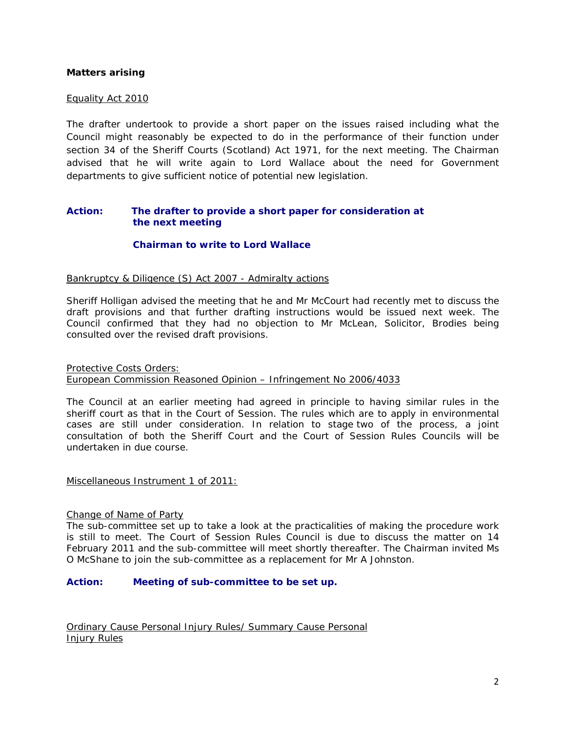### **Matters arising**

#### Equality Act 2010

The drafter undertook to provide a short paper on the issues raised including what the Council might reasonably be expected to do in the performance of their function under section 34 of the Sheriff Courts (Scotland) Act 1971, for the next meeting. The Chairman advised that he will write again to Lord Wallace about the need for Government departments to give sufficient notice of potential new legislation.

### **Action: The drafter to provide a short paper for consideration at the next meeting**

### **Chairman to write to Lord Wallace**

#### Bankruptcy & Diligence (S) Act 2007 - Admiralty actions

Sheriff Holligan advised the meeting that he and Mr McCourt had recently met to discuss the draft provisions and that further drafting instructions would be issued next week. The Council confirmed that they had no objection to Mr McLean, Solicitor, Brodies being consulted over the revised draft provisions.

Protective Costs Orders: European Commission Reasoned Opinion – Infringement No 2006/4033

The Council at an earlier meeting had agreed in principle to having similar rules in the sheriff court as that in the Court of Session. The rules which are to apply in environmental cases are still under consideration. In relation to stage two of the process, a joint consultation of both the Sheriff Court and the Court of Session Rules Councils will be undertaken in due course.

Miscellaneous Instrument 1 of 2011:

#### Change of Name of Party

The sub-committee set up to take a look at the practicalities of making the procedure work is still to meet. The Court of Session Rules Council is due to discuss the matter on 14 February 2011 and the sub-committee will meet shortly thereafter. The Chairman invited Ms O McShane to join the sub-committee as a replacement for Mr A Johnston.

#### **Action: Meeting of sub-committee to be set up.**

Ordinary Cause Personal Injury Rules/ Summary Cause Personal Injury Rules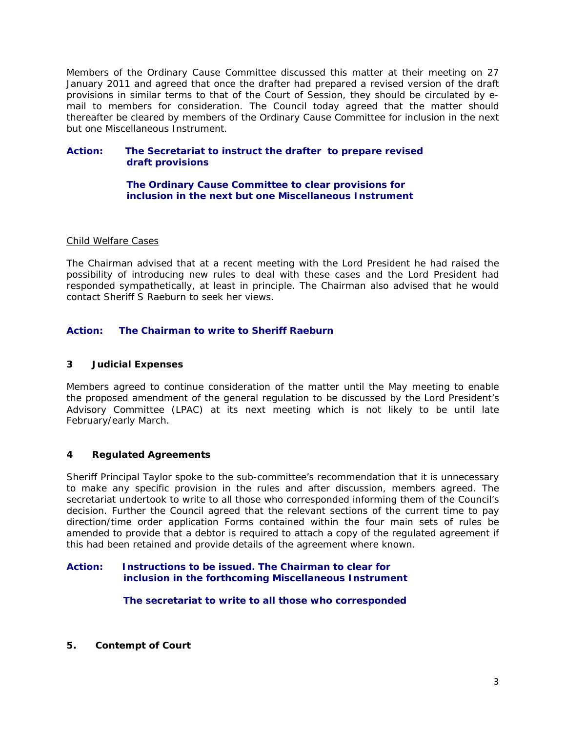Members of the Ordinary Cause Committee discussed this matter at their meeting on 27 January 2011 and agreed that once the drafter had prepared a revised version of the draft provisions in similar terms to that of the Court of Session, they should be circulated by email to members for consideration. The Council today agreed that the matter should thereafter be cleared by members of the Ordinary Cause Committee for inclusion in the next but one Miscellaneous Instrument.

### **Action: The Secretariat to instruct the drafter to prepare revised draft provisions**

### **The Ordinary Cause Committee to clear provisions for inclusion in the next but one Miscellaneous Instrument**

### Child Welfare Cases

The Chairman advised that at a recent meeting with the Lord President he had raised the possibility of introducing new rules to deal with these cases and the Lord President had responded sympathetically, at least in principle. The Chairman also advised that he would contact Sheriff S Raeburn to seek her views.

# **Action: The Chairman to write to Sheriff Raeburn**

### **3 Judicial Expenses**

Members agreed to continue consideration of the matter until the May meeting to enable the proposed amendment of the general regulation to be discussed by the Lord President's Advisory Committee (LPAC) at its next meeting which is not likely to be until late February/early March.

### **4 Regulated Agreements**

Sheriff Principal Taylor spoke to the sub-committee's recommendation that it is unnecessary to make any specific provision in the rules and after discussion, members agreed. The secretariat undertook to write to all those who corresponded informing them of the Council's decision. Further the Council agreed that the relevant sections of the current time to pay direction/time order application Forms contained within the four main sets of rules be amended to provide that a debtor is required to attach a copy of the regulated agreement if this had been retained and provide details of the agreement where known.

#### **Action: Instructions to be issued. The Chairman to clear for inclusion in the forthcoming Miscellaneous Instrument**

 **The secretariat to write to all those who corresponded** 

**5. Contempt of Court**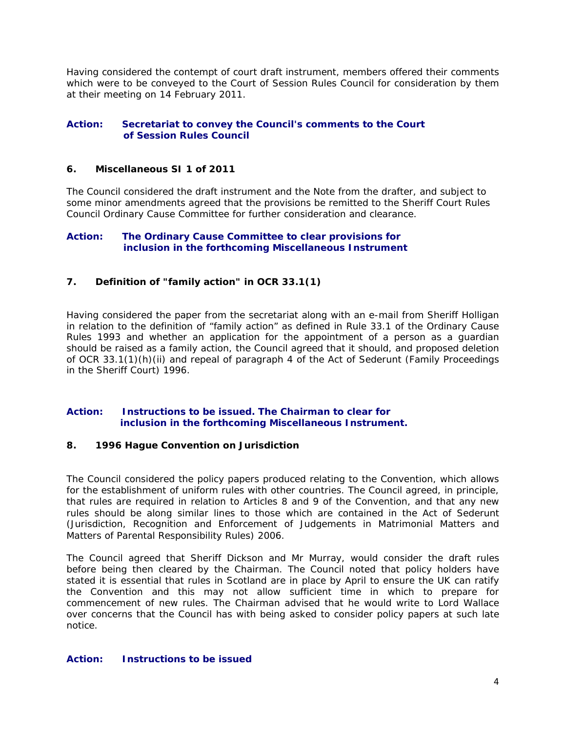Having considered the contempt of court draft instrument, members offered their comments which were to be conveyed to the Court of Session Rules Council for consideration by them at their meeting on 14 February 2011.

## **Action: Secretariat to convey the Council's comments to the Court of Session Rules Council**

### **6. Miscellaneous SI 1 of 2011**

The Council considered the draft instrument and the Note from the drafter, and subject to some minor amendments agreed that the provisions be remitted to the Sheriff Court Rules Council Ordinary Cause Committee for further consideration and clearance.

### **Action: The Ordinary Cause Committee to clear provisions for inclusion in the forthcoming Miscellaneous Instrument**

# **7. Definition of "family action" in OCR 33.1(1)**

Having considered the paper from the secretariat along with an e-mail from Sheriff Holligan in relation to the definition of "family action" as defined in Rule 33.1 of the Ordinary Cause Rules 1993 and whether an application for the appointment of a person as a guardian should be raised as a family action, the Council agreed that it should, and proposed deletion of OCR 33.1(1)(h)(ii) and repeal of paragraph 4 of the Act of Sederunt (Family Proceedings in the Sheriff Court) 1996.

# **Action: Instructions to be issued. The Chairman to clear for inclusion in the forthcoming Miscellaneous Instrument.**

### **8. 1996 Hague Convention on Jurisdiction**

The Council considered the policy papers produced relating to the Convention, which allows for the establishment of uniform rules with other countries. The Council agreed, in principle, that rules are required in relation to Articles 8 and 9 of the Convention, and that any new rules should be along similar lines to those which are contained in the Act of Sederunt (Jurisdiction, Recognition and Enforcement of Judgements in Matrimonial Matters and Matters of Parental Responsibility Rules) 2006.

The Council agreed that Sheriff Dickson and Mr Murray, would consider the draft rules before being then cleared by the Chairman. The Council noted that policy holders have stated it is essential that rules in Scotland are in place by April to ensure the UK can ratify the Convention and this may not allow sufficient time in which to prepare for commencement of new rules. The Chairman advised that he would write to Lord Wallace over concerns that the Council has with being asked to consider policy papers at such late notice.

### **Action: Instructions to be issued**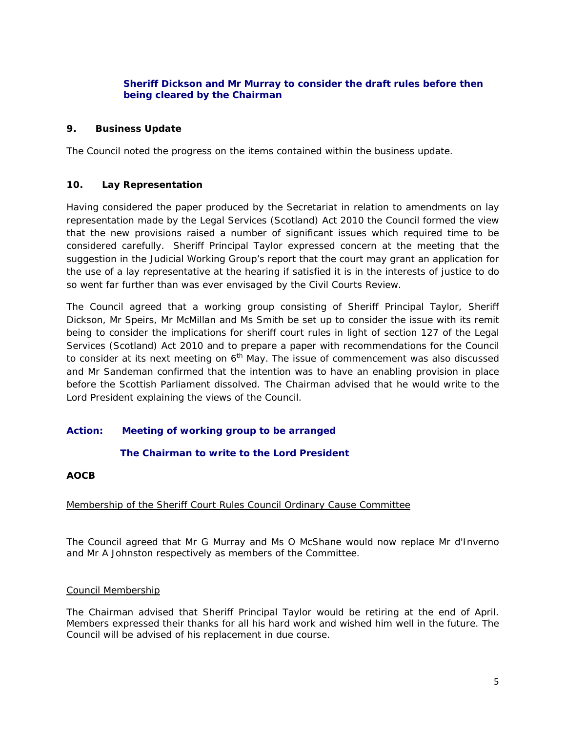# **Sheriff Dickson and Mr Murray to consider the draft rules before then being cleared by the Chairman**

## **9. Business Update**

The Council noted the progress on the items contained within the business update.

# **10. Lay Representation**

Having considered the paper produced by the Secretariat in relation to amendments on lay representation made by the Legal Services (Scotland) Act 2010 the Council formed the view that the new provisions raised a number of significant issues which required time to be considered carefully. Sheriff Principal Taylor expressed concern at the meeting that the suggestion in the Judicial Working Group's report that the court may grant an application for the use of a lay representative at the hearing if satisfied it is in the interests of justice to do so went far further than was ever envisaged by the Civil Courts Review.

The Council agreed that a working group consisting of Sheriff Principal Taylor, Sheriff Dickson, Mr Speirs, Mr McMillan and Ms Smith be set up to consider the issue with its remit being to consider the implications for sheriff court rules in light of section 127 of the Legal Services (Scotland) Act 2010 and to prepare a paper with recommendations for the Council to consider at its next meeting on  $6<sup>th</sup>$  May. The issue of commencement was also discussed and Mr Sandeman confirmed that the intention was to have an enabling provision in place before the Scottish Parliament dissolved. The Chairman advised that he would write to the Lord President explaining the views of the Council.

### **Action: Meeting of working group to be arranged**

### **The Chairman to write to the Lord President**

### **AOCB**

### Membership of the Sheriff Court Rules Council Ordinary Cause Committee

The Council agreed that Mr G Murray and Ms O McShane would now replace Mr d'Inverno and Mr A Johnston respectively as members of the Committee.

### Council Membership

The Chairman advised that Sheriff Principal Taylor would be retiring at the end of April. Members expressed their thanks for all his hard work and wished him well in the future. The Council will be advised of his replacement in due course.